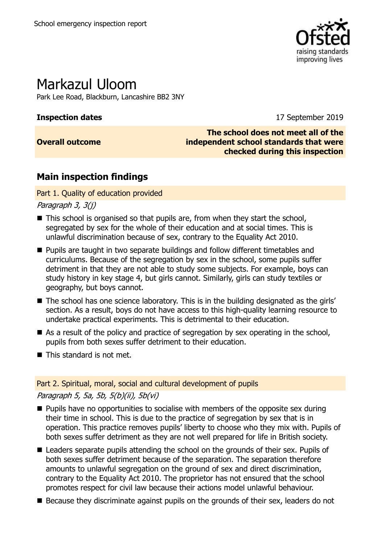

# Markazul Uloom

Park Lee Road, Blackburn, Lancashire BB2 3NY

### **Inspection dates** 17 September 2019

### **Overall outcome**

**The school does not meet all of the independent school standards that were checked during this inspection**

## **Main inspection findings**

### Part 1. Quality of education provided

Paragraph 3, 3(j)

- This school is organised so that pupils are, from when they start the school, segregated by sex for the whole of their education and at social times. This is unlawful discrimination because of sex, contrary to the Equality Act 2010.
- **Pupils are taught in two separate buildings and follow different timetables and** curriculums. Because of the segregation by sex in the school, some pupils suffer detriment in that they are not able to study some subjects. For example, boys can study history in key stage 4, but girls cannot. Similarly, girls can study textiles or geography, but boys cannot.
- The school has one science laboratory. This is in the building designated as the girls' section. As a result, boys do not have access to this high-quality learning resource to undertake practical experiments. This is detrimental to their education.
- As a result of the policy and practice of segregation by sex operating in the school, pupils from both sexes suffer detriment to their education.
- This standard is not met.

### Part 2. Spiritual, moral, social and cultural development of pupils Paragraph 5, 5a, 5b, 5(b)(ii), 5b(vi)

- $\blacksquare$  Pupils have no opportunities to socialise with members of the opposite sex during their time in school. This is due to the practice of segregation by sex that is in operation. This practice removes pupils' liberty to choose who they mix with. Pupils of both sexes suffer detriment as they are not well prepared for life in British society.
- Leaders separate pupils attending the school on the grounds of their sex. Pupils of both sexes suffer detriment because of the separation. The separation therefore amounts to unlawful segregation on the ground of sex and direct discrimination, contrary to the Equality Act 2010. The proprietor has not ensured that the school promotes respect for civil law because their actions model unlawful behaviour.
- Because they discriminate against pupils on the grounds of their sex, leaders do not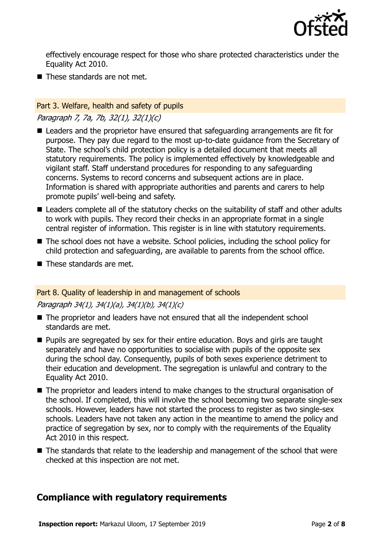

effectively encourage respect for those who share protected characteristics under the Equality Act 2010.

 $\blacksquare$  These standards are not met.

### Part 3. Welfare, health and safety of pupils

### Paragraph 7, 7a, 7b, 32(1), 32(1)(c)

- Leaders and the proprietor have ensured that safeguarding arrangements are fit for purpose. They pay due regard to the most up-to-date guidance from the Secretary of State. The school's child protection policy is a detailed document that meets all statutory requirements. The policy is implemented effectively by knowledgeable and vigilant staff. Staff understand procedures for responding to any safeguarding concerns. Systems to record concerns and subsequent actions are in place. Information is shared with appropriate authorities and parents and carers to help promote pupils' well-being and safety.
- Leaders complete all of the statutory checks on the suitability of staff and other adults to work with pupils. They record their checks in an appropriate format in a single central register of information. This register is in line with statutory requirements.
- The school does not have a website. School policies, including the school policy for child protection and safeguarding, are available to parents from the school office.
- These standards are met.

### Part 8. Quality of leadership in and management of schools

### Paragraph 34(1), 34(1)(a), 34(1)(b), 34(1)(c)

- The proprietor and leaders have not ensured that all the independent school standards are met.
- **Pupils are segregated by sex for their entire education. Boys and girls are taught** separately and have no opportunities to socialise with pupils of the opposite sex during the school day. Consequently, pupils of both sexes experience detriment to their education and development. The segregation is unlawful and contrary to the Equality Act 2010.
- The proprietor and leaders intend to make changes to the structural organisation of the school. If completed, this will involve the school becoming two separate single-sex schools. However, leaders have not started the process to register as two single-sex schools. Leaders have not taken any action in the meantime to amend the policy and practice of segregation by sex, nor to comply with the requirements of the Equality Act 2010 in this respect.
- The standards that relate to the leadership and management of the school that were checked at this inspection are not met.

### **Compliance with regulatory requirements**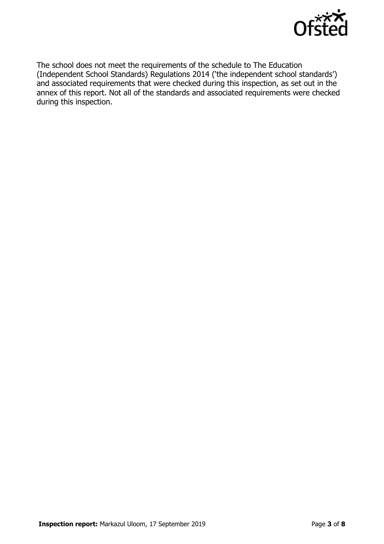

The school does not meet the requirements of the schedule to The Education (Independent School Standards) Regulations 2014 ('the independent school standards') and associated requirements that were checked during this inspection, as set out in the annex of this report. Not all of the standards and associated requirements were checked during this inspection.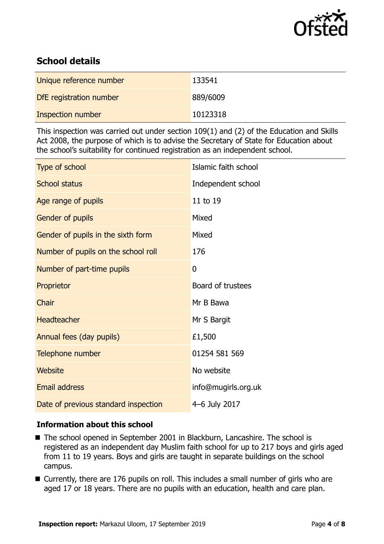

### **School details**

| Unique reference number | 133541   |
|-------------------------|----------|
| DfE registration number | 889/6009 |
| Inspection number       | 10123318 |

This inspection was carried out under section 109(1) and (2) of the Education and Skills Act 2008, the purpose of which is to advise the Secretary of State for Education about the school's suitability for continued registration as an independent school.

| Type of school                       | Islamic faith school |
|--------------------------------------|----------------------|
| <b>School status</b>                 | Independent school   |
| Age range of pupils                  | 11 to 19             |
| Gender of pupils                     | Mixed                |
| Gender of pupils in the sixth form   | Mixed                |
| Number of pupils on the school roll  | 176                  |
| Number of part-time pupils           | 0                    |
| Proprietor                           | Board of trustees    |
| Chair                                | Mr B Bawa            |
| <b>Headteacher</b>                   | Mr S Bargit          |
| Annual fees (day pupils)             | £1,500               |
| Telephone number                     | 01254 581 569        |
| <b>Website</b>                       | No website           |
| <b>Email address</b>                 | info@mugirls.org.uk  |
| Date of previous standard inspection | 4-6 July 2017        |

### **Information about this school**

- The school opened in September 2001 in Blackburn, Lancashire. The school is registered as an independent day Muslim faith school for up to 217 boys and girls aged from 11 to 19 years. Boys and girls are taught in separate buildings on the school campus.
- Currently, there are 176 pupils on roll. This includes a small number of girls who are aged 17 or 18 years. There are no pupils with an education, health and care plan.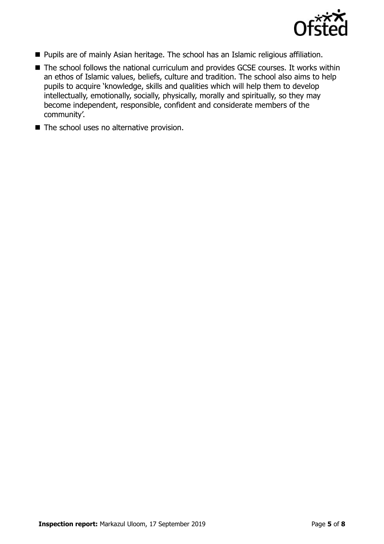

- **Pupils are of mainly Asian heritage. The school has an Islamic religious affiliation.**
- The school follows the national curriculum and provides GCSE courses. It works within an ethos of Islamic values, beliefs, culture and tradition. The school also aims to help pupils to acquire 'knowledge, skills and qualities which will help them to develop intellectually, emotionally, socially, physically, morally and spiritually, so they may become independent, responsible, confident and considerate members of the community'.
- The school uses no alternative provision.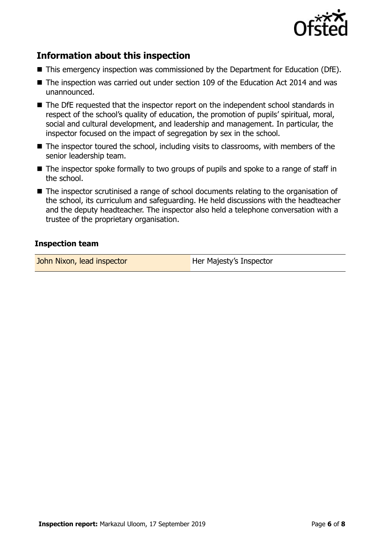

### **Information about this inspection**

- This emergency inspection was commissioned by the Department for Education (DfE).
- The inspection was carried out under section 109 of the Education Act 2014 and was unannounced.
- The DfE requested that the inspector report on the independent school standards in respect of the school's quality of education, the promotion of pupils' spiritual, moral, social and cultural development, and leadership and management. In particular, the inspector focused on the impact of segregation by sex in the school.
- The inspector toured the school, including visits to classrooms, with members of the senior leadership team.
- The inspector spoke formally to two groups of pupils and spoke to a range of staff in the school.
- The inspector scrutinised a range of school documents relating to the organisation of the school, its curriculum and safeguarding. He held discussions with the headteacher and the deputy headteacher. The inspector also held a telephone conversation with a trustee of the proprietary organisation.

#### **Inspection team**

John Nixon, lead inspector **Her Majesty's Inspector**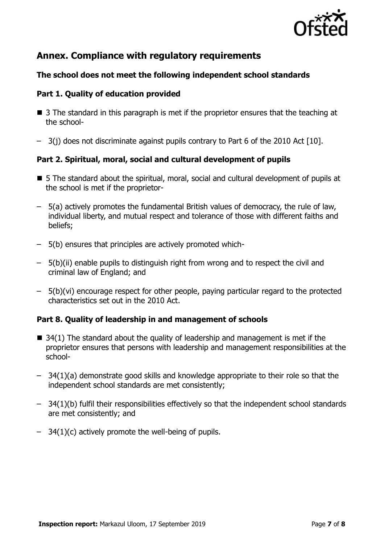

### **Annex. Compliance with regulatory requirements**

### **The school does not meet the following independent school standards**

### **Part 1. Quality of education provided**

- 3 The standard in this paragraph is met if the proprietor ensures that the teaching at the school-
- 3(j) does not discriminate against pupils contrary to Part 6 of the 2010 Act [10].

### **Part 2. Spiritual, moral, social and cultural development of pupils**

- 5 The standard about the spiritual, moral, social and cultural development of pupils at the school is met if the proprietor-
- 5(a) actively promotes the fundamental British values of democracy, the rule of law, individual liberty, and mutual respect and tolerance of those with different faiths and beliefs;
- 5(b) ensures that principles are actively promoted which-
- 5(b)(ii) enable pupils to distinguish right from wrong and to respect the civil and criminal law of England; and
- 5(b)(vi) encourage respect for other people, paying particular regard to the protected characteristics set out in the 2010 Act.

### **Part 8. Quality of leadership in and management of schools**

- $\blacksquare$  34(1) The standard about the quality of leadership and management is met if the proprietor ensures that persons with leadership and management responsibilities at the school-
- 34(1)(a) demonstrate good skills and knowledge appropriate to their role so that the independent school standards are met consistently;
- 34(1)(b) fulfil their responsibilities effectively so that the independent school standards are met consistently; and
- $-$  34(1)(c) actively promote the well-being of pupils.